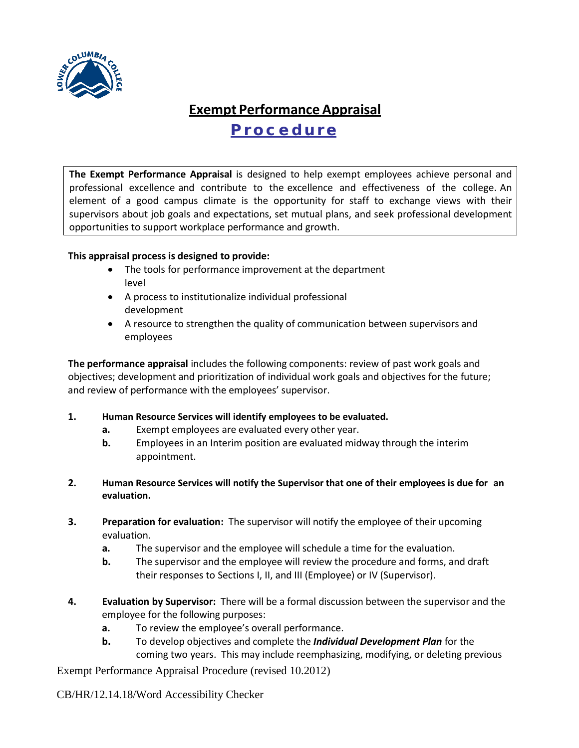

## **Exempt Performance Appraisal Procedure**

**The Exempt Performance Appraisal** is designed to help exempt employees achieve personal and professional excellence and contribute to the excellence and effectiveness of the college. An element of a good campus climate is the opportunity for staff to exchange views with their supervisors about job goals and expectations, set mutual plans, and seek professional development opportunities to support workplace performance and growth.

## **This appraisal process is designed to provide:**

- The tools for performance improvement at the department level
- A process to institutionalize individual professional development
- A resource to strengthen the quality of communication between supervisors and employees

**The performance appraisal** includes the following components: review of past work goals and objectives; development and prioritization of individual work goals and objectives for the future; and review of performance with the employees' supervisor.

- **1. Human Resource Services will identify employees to be evaluated.**
	- **a.** Exempt employees are evaluated every other year.
	- **b.** Employees in an Interim position are evaluated midway through the interim appointment.
- **2. Human Resource Services will notify the Supervisor that one of their employees is due for an evaluation.**
- **3. Preparation for evaluation:** The supervisor will notify the employee of their upcoming evaluation.
	- **a.** The supervisor and the employee will schedule a time for the evaluation.
	- **b.** The supervisor and the employee will review the procedure and forms, and draft their responses to Sections I, II, and III (Employee) or IV (Supervisor).
- **4. Evaluation by Supervisor:** There will be a formal discussion between the supervisor and the employee for the following purposes:
	- **a.** To review the employee's overall performance.
	- **b.** To develop objectives and complete the *Individual Development Plan* for the coming two years. This may include reemphasizing, modifying, or deleting previous

Exempt Performance Appraisal Procedure (revised 10.2012)

CB/HR/12.14.18/Word Accessibility Checker